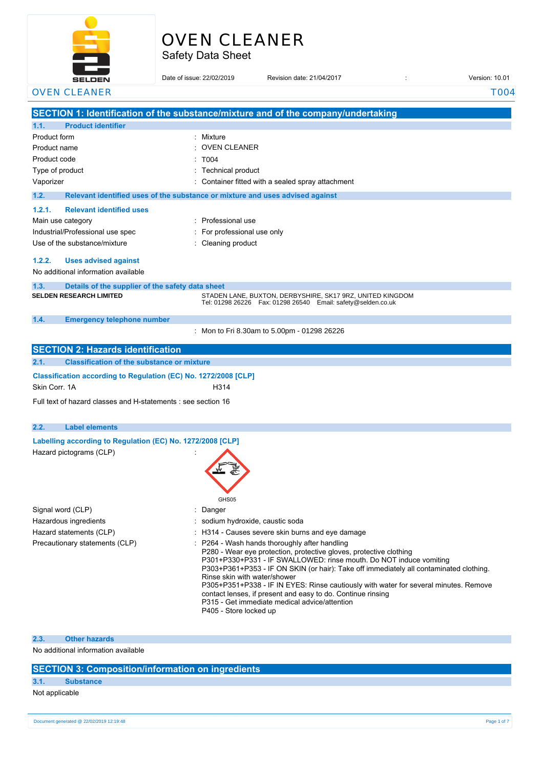

# OVEN CLEANER

Safety Data Sheet

| <b>SELDEN</b>                                                   | Date of issue: 22/02/2019                                                     | Revision date: 21/04/2017                                                                                                                                                                                                                                                                                                                                                                                                                  | Version: 10.01 |
|-----------------------------------------------------------------|-------------------------------------------------------------------------------|--------------------------------------------------------------------------------------------------------------------------------------------------------------------------------------------------------------------------------------------------------------------------------------------------------------------------------------------------------------------------------------------------------------------------------------------|----------------|
| <b>OVEN CLEANER</b>                                             |                                                                               |                                                                                                                                                                                                                                                                                                                                                                                                                                            | T004           |
|                                                                 |                                                                               | SECTION 1: Identification of the substance/mixture and of the company/undertaking                                                                                                                                                                                                                                                                                                                                                          |                |
| <b>Product identifier</b><br>1.1.                               |                                                                               |                                                                                                                                                                                                                                                                                                                                                                                                                                            |                |
| Product form                                                    | : Mixture                                                                     |                                                                                                                                                                                                                                                                                                                                                                                                                                            |                |
| Product name                                                    | $:$ OVEN CLEANER                                                              |                                                                                                                                                                                                                                                                                                                                                                                                                                            |                |
| Product code                                                    | : T004                                                                        |                                                                                                                                                                                                                                                                                                                                                                                                                                            |                |
| Type of product                                                 | : Technical product                                                           |                                                                                                                                                                                                                                                                                                                                                                                                                                            |                |
| Vaporizer                                                       |                                                                               | : Container fitted with a sealed spray attachment                                                                                                                                                                                                                                                                                                                                                                                          |                |
| 1.2.                                                            | Relevant identified uses of the substance or mixture and uses advised against |                                                                                                                                                                                                                                                                                                                                                                                                                                            |                |
| 1.2.1.<br><b>Relevant identified uses</b>                       |                                                                               |                                                                                                                                                                                                                                                                                                                                                                                                                                            |                |
| Main use category                                               | : Professional use                                                            |                                                                                                                                                                                                                                                                                                                                                                                                                                            |                |
| Industrial/Professional use spec                                | For professional use only                                                     |                                                                                                                                                                                                                                                                                                                                                                                                                                            |                |
| Use of the substance/mixture                                    | : Cleaning product                                                            |                                                                                                                                                                                                                                                                                                                                                                                                                                            |                |
|                                                                 |                                                                               |                                                                                                                                                                                                                                                                                                                                                                                                                                            |                |
| 1.2.2.<br><b>Uses advised against</b>                           |                                                                               |                                                                                                                                                                                                                                                                                                                                                                                                                                            |                |
| No additional information available                             |                                                                               |                                                                                                                                                                                                                                                                                                                                                                                                                                            |                |
| 1.3.<br>Details of the supplier of the safety data sheet        |                                                                               |                                                                                                                                                                                                                                                                                                                                                                                                                                            |                |
| <b>SELDEN RESEARCH LIMITED</b>                                  |                                                                               | STADEN LANE, BUXTON, DERBYSHIRE, SK17 9RZ, UNITED KINGDOM<br>Tel: 01298 26226  Fax: 01298 26540  Email: safety@selden.co.uk                                                                                                                                                                                                                                                                                                                |                |
|                                                                 |                                                                               |                                                                                                                                                                                                                                                                                                                                                                                                                                            |                |
| 1.4.<br><b>Emergency telephone number</b>                       |                                                                               |                                                                                                                                                                                                                                                                                                                                                                                                                                            |                |
|                                                                 |                                                                               | : Mon to Fri 8.30am to 5.00pm - 01298 26226                                                                                                                                                                                                                                                                                                                                                                                                |                |
| <b>SECTION 2: Hazards identification</b>                        |                                                                               |                                                                                                                                                                                                                                                                                                                                                                                                                                            |                |
| <b>Classification of the substance or mixture</b><br>2.1.       |                                                                               |                                                                                                                                                                                                                                                                                                                                                                                                                                            |                |
| Classification according to Regulation (EC) No. 1272/2008 [CLP] |                                                                               |                                                                                                                                                                                                                                                                                                                                                                                                                                            |                |
| Skin Corr. 1A                                                   | H314                                                                          |                                                                                                                                                                                                                                                                                                                                                                                                                                            |                |
| Full text of hazard classes and H-statements : see section 16   |                                                                               |                                                                                                                                                                                                                                                                                                                                                                                                                                            |                |
|                                                                 |                                                                               |                                                                                                                                                                                                                                                                                                                                                                                                                                            |                |
| 2.2.<br><b>Label elements</b>                                   |                                                                               |                                                                                                                                                                                                                                                                                                                                                                                                                                            |                |
| Labelling according to Regulation (EC) No. 1272/2008 [CLP]      |                                                                               |                                                                                                                                                                                                                                                                                                                                                                                                                                            |                |
| Hazard pictograms (CLP)                                         |                                                                               |                                                                                                                                                                                                                                                                                                                                                                                                                                            |                |
|                                                                 |                                                                               |                                                                                                                                                                                                                                                                                                                                                                                                                                            |                |
|                                                                 |                                                                               |                                                                                                                                                                                                                                                                                                                                                                                                                                            |                |
|                                                                 |                                                                               |                                                                                                                                                                                                                                                                                                                                                                                                                                            |                |
|                                                                 | GHS05                                                                         |                                                                                                                                                                                                                                                                                                                                                                                                                                            |                |
| Signal word (CLP)                                               | : Danger                                                                      |                                                                                                                                                                                                                                                                                                                                                                                                                                            |                |
| Hazardous ingredients                                           | : sodium hydroxide, caustic soda                                              |                                                                                                                                                                                                                                                                                                                                                                                                                                            |                |
| Hazard statements (CLP)                                         |                                                                               | : H314 - Causes severe skin burns and eye damage                                                                                                                                                                                                                                                                                                                                                                                           |                |
| Precautionary statements (CLP)                                  |                                                                               | : P264 - Wash hands thoroughly after handling                                                                                                                                                                                                                                                                                                                                                                                              |                |
|                                                                 | Rinse skin with water/shower                                                  | P280 - Wear eye protection, protective gloves, protective clothing<br>P301+P330+P331 - IF SWALLOWED: rinse mouth. Do NOT induce vomiting<br>P303+P361+P353 - IF ON SKIN (or hair): Take off immediately all contaminated clothing.<br>P305+P351+P338 - IF IN EYES: Rinse cautiously with water for several minutes. Remove<br>contact lenses, if present and easy to do. Continue rinsing<br>P315 - Get immediate medical advice/attention |                |
|                                                                 | P405 - Store locked up                                                        |                                                                                                                                                                                                                                                                                                                                                                                                                                            |                |

### **2.3. Other hazards**

No additional information available

# **SECTION 3: Composition/information on ingredients**

# **3.1. Substance**

Not applicable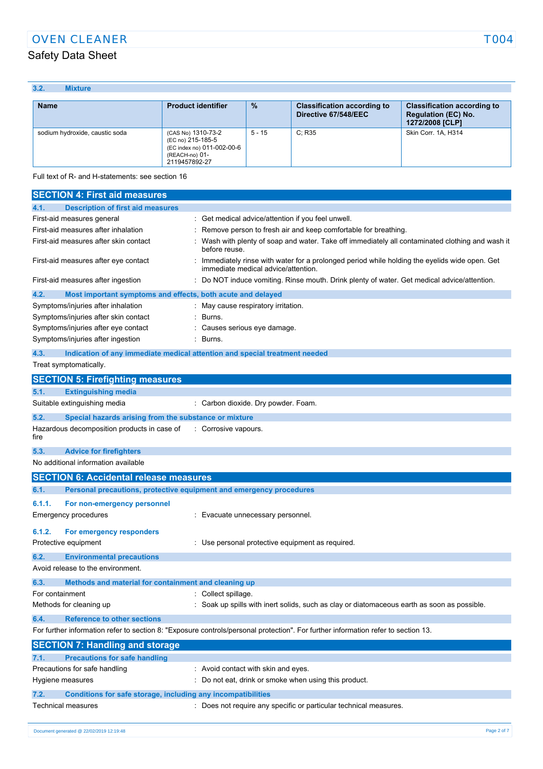# OVEN CLEANER TOO AND TOO AND TOO AND TOO AND TOO AND TOO AND TOO AND TOO AND TOO AND TOO AND TOO AND TOO AND TOO AND TOO AND TOO AND TOO AND TOO AND TOO AND TOO AND TOO AND TOO AND TOO AND TOO AND TOO AND TOO AND TOO AND T

# Safety Data Sheet

| 3.2.<br><b>Mixture</b>         |                                                                                                          |               |                                                            |                                                                                     |
|--------------------------------|----------------------------------------------------------------------------------------------------------|---------------|------------------------------------------------------------|-------------------------------------------------------------------------------------|
|                                |                                                                                                          |               |                                                            |                                                                                     |
| <b>Name</b>                    | <b>Product identifier</b>                                                                                | $\frac{0}{2}$ | <b>Classification according to</b><br>Directive 67/548/EEC | <b>Classification according to</b><br><b>Regulation (EC) No.</b><br>1272/2008 [CLP] |
| sodium hydroxide, caustic soda | (CAS No) 1310-73-2<br>(EC no) 215-185-5<br>(EC index no) 011-002-00-6<br>(REACH-no) 01-<br>2119457892-27 | $5 - 15$      | C: R35                                                     | Skin Corr. 1A, H314                                                                 |

Full text of R- and H-statements: see section 16

| <b>SECTION 4: First aid measures</b>                                        |                                                                                                                                     |
|-----------------------------------------------------------------------------|-------------------------------------------------------------------------------------------------------------------------------------|
| <b>Description of first aid measures</b><br>4.1.                            |                                                                                                                                     |
| First-aid measures general                                                  | : Get medical advice/attention if you feel unwell.                                                                                  |
| First-aid measures after inhalation                                         | Remove person to fresh air and keep comfortable for breathing.                                                                      |
| First-aid measures after skin contact                                       | Wash with plenty of soap and water. Take off immediately all contaminated clothing and wash it<br>before reuse.                     |
| First-aid measures after eye contact                                        | Immediately rinse with water for a prolonged period while holding the eyelids wide open. Get<br>immediate medical advice/attention. |
| First-aid measures after ingestion                                          | Do NOT induce vomiting. Rinse mouth. Drink plenty of water. Get medical advice/attention.                                           |
| 4.2.<br>Most important symptoms and effects, both acute and delayed         |                                                                                                                                     |
| Symptoms/injuries after inhalation                                          | : May cause respiratory irritation.                                                                                                 |
| Symptoms/injuries after skin contact                                        | Burns.                                                                                                                              |
| Symptoms/injuries after eye contact                                         | Causes serious eye damage.                                                                                                          |
| Symptoms/injuries after ingestion                                           | Burns.                                                                                                                              |
| 4.3.                                                                        | Indication of any immediate medical attention and special treatment needed                                                          |
| Treat symptomatically.                                                      |                                                                                                                                     |
| <b>SECTION 5: Firefighting measures</b>                                     |                                                                                                                                     |
| 5.1.<br><b>Extinguishing media</b>                                          |                                                                                                                                     |
| Suitable extinguishing media                                                | : Carbon dioxide. Dry powder. Foam.                                                                                                 |
| 5.2.<br>Special hazards arising from the substance or mixture               |                                                                                                                                     |
| Hazardous decomposition products in case of<br>fire                         | : Corrosive vapours.                                                                                                                |
| 5.3.<br><b>Advice for firefighters</b>                                      |                                                                                                                                     |
| No additional information available                                         |                                                                                                                                     |
| <b>SECTION 6: Accidental release measures</b>                               |                                                                                                                                     |
| Personal precautions, protective equipment and emergency procedures<br>6.1. |                                                                                                                                     |
| 6.1.1.<br>For non-emergency personnel                                       |                                                                                                                                     |
| Emergency procedures                                                        | : Evacuate unnecessary personnel.                                                                                                   |
| 6.1.2.<br>For emergency responders                                          |                                                                                                                                     |
| Protective equipment                                                        | : Use personal protective equipment as required.                                                                                    |
| 6.2.<br><b>Environmental precautions</b>                                    |                                                                                                                                     |
| Avoid release to the environment.                                           |                                                                                                                                     |
| 6.3.<br>Methods and material for containment and cleaning up                |                                                                                                                                     |
| For containment                                                             | : Collect spillage.                                                                                                                 |
| Methods for cleaning up                                                     | : Soak up spills with inert solids, such as clay or diatomaceous earth as soon as possible.                                         |
| <b>Reference to other sections</b><br>6.4.                                  |                                                                                                                                     |
|                                                                             | For further information refer to section 8: "Exposure controls/personal protection". For further information refer to section 13.   |
| <b>SECTION 7: Handling and storage</b>                                      |                                                                                                                                     |
| <b>Precautions for safe handling</b><br>7.1.                                |                                                                                                                                     |
| Precautions for safe handling                                               | : Avoid contact with skin and eyes.                                                                                                 |
| Hygiene measures                                                            | : Do not eat, drink or smoke when using this product.                                                                               |
| 7.2.<br>Conditions for safe storage, including any incompatibilities        |                                                                                                                                     |
| Technical measures                                                          | : Does not require any specific or particular technical measures.                                                                   |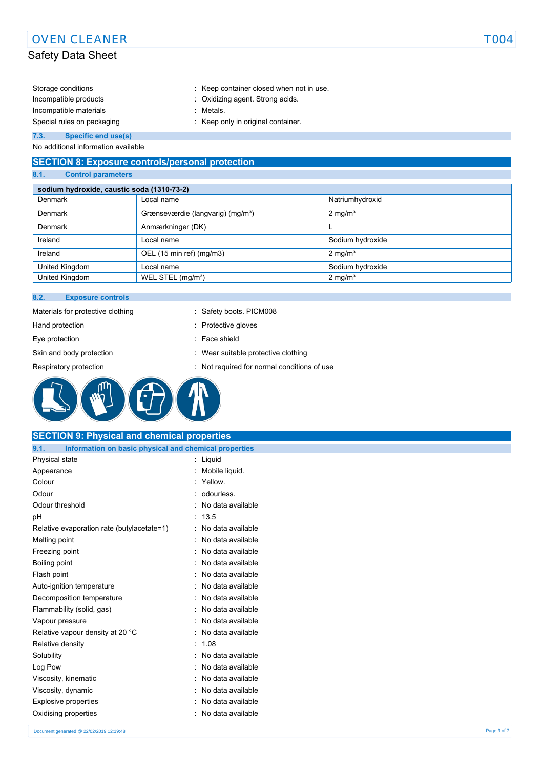| w<br>× | ٠.<br>V. | × |
|--------|----------|---|

| Storage conditions         | Keep container closed when not in use. |
|----------------------------|----------------------------------------|
| Incompatible products      | : Oxidizing agent. Strong acids.       |
| Incompatible materials     | Metals.                                |
| Special rules on packaging | : Keep only in original container.     |
|                            |                                        |

#### **7.3. Specific end use(s)**

No additional information available

### **SECTION 8: Exposure controls/personal protection**

### **8.1. Control parameters**

| sodium hydroxide, caustic soda (1310-73-2) |                                               |                    |
|--------------------------------------------|-----------------------------------------------|--------------------|
| Denmark                                    | Local name                                    | Natriumhydroxid    |
| Denmark                                    | Grænseværdie (langvarig) (mg/m <sup>3</sup> ) | $2 \text{ mg/m}^3$ |
| Denmark                                    | Anmærkninger (DK)                             |                    |
| Ireland                                    | Local name                                    | Sodium hydroxide   |
| Ireland                                    | OEL (15 min ref) (mg/m3)                      | $2 \text{ mg/m}^3$ |
| United Kingdom                             | Local name                                    | Sodium hydroxide   |
| United Kingdom                             | WEL STEL (mg/m <sup>3</sup> )                 | $2 \text{ mg/m}^3$ |

### **8.2. Exposure controls**

- Materials for protective clothing : Safety boots. PICM008
- 
- Eye protection **in the contract of the contract of the contract of the contract of the contract of the contract of the contract of the contract of the contract of the contract of the contract of the contract of the contrac**
- 
- 
- 
- Hand protection **in the contract of the Contract Contract Contract Contract Contract Contract Contract Contract Contract Contract Contract Contract Contract Contract Contract Contract Contract Contract Contract Contract Co** 
	-
- Skin and body protection **interest and set of the set of the set of the set of the set of the set of the set of the set of the set of the set of the set of the set of the set of the set of the set of the set of the set of**
- Respiratory protection **interval conditions** : Not required for normal conditions of use



### **SECTION 9: Physical and chemical properties**

### **9.1. Information on basic physical and chemical properties**

| Physical state                             | Liquid            |
|--------------------------------------------|-------------------|
| Appearance                                 | Mobile liquid.    |
| Colour                                     | Yellow.           |
| Odour                                      | odourless.        |
| Odour threshold                            | No data available |
| рH                                         | 13.5              |
| Relative evaporation rate (butylacetate=1) | No data available |
| Melting point                              | No data available |
| Freezing point                             | No data available |
| Boiling point                              | No data available |
| Flash point                                | No data available |
| Auto-ignition temperature                  | No data available |
| Decomposition temperature                  | No data available |
| Flammability (solid, gas)                  | No data available |
| Vapour pressure                            | No data available |
| Relative vapour density at 20 °C           | No data available |
| Relative density                           | 1.08              |
| Solubility                                 | No data available |
| Log Pow                                    | No data available |
| Viscosity, kinematic                       | No data available |
| Viscosity, dynamic                         | No data available |
| Explosive properties                       | No data available |
| Oxidising properties                       | No data available |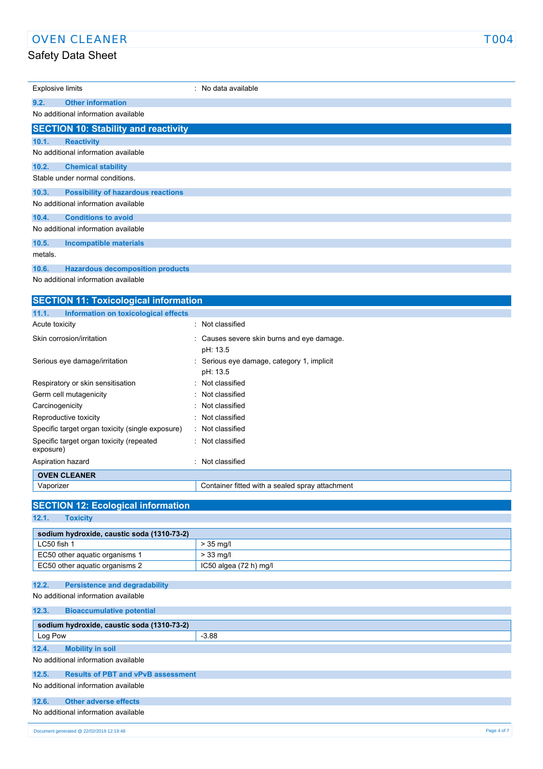| <b>Explosive limits</b> |                                             | : No data available |
|-------------------------|---------------------------------------------|---------------------|
| 9.2.                    | <b>Other information</b>                    |                     |
|                         | No additional information available         |                     |
|                         | <b>SECTION 10: Stability and reactivity</b> |                     |
| 10.1.                   | <b>Reactivity</b>                           |                     |
|                         | No additional information available         |                     |
| 10.2.                   | <b>Chemical stability</b>                   |                     |
|                         | Stable under normal conditions.             |                     |
| 10.3.                   | <b>Possibility of hazardous reactions</b>   |                     |
|                         | No additional information available         |                     |
| 10.4.                   | <b>Conditions to avoid</b>                  |                     |
|                         | No additional information available         |                     |
| 10.5.                   | <b>Incompatible materials</b>               |                     |
| metals.                 |                                             |                     |
| 10.6.                   | <b>Hazardous decomposition products</b>     |                     |
|                         | No additional information available         |                     |

| <b>SECTION 11: Toxicological information</b>          |                                                        |  |
|-------------------------------------------------------|--------------------------------------------------------|--|
| Information on toxicological effects<br>11.1.         |                                                        |  |
| Acute toxicity                                        | : Not classified                                       |  |
| Skin corrosion/irritation                             | : Causes severe skin burns and eye damage.<br>pH: 13.5 |  |
| Serious eye damage/irritation                         | Serious eye damage, category 1, implicit<br>pH: 13.5   |  |
| Respiratory or skin sensitisation                     | : Not classified                                       |  |
| Germ cell mutagenicity                                | : Not classified                                       |  |
| Carcinogenicity                                       | : Not classified                                       |  |
| Reproductive toxicity                                 | : Not classified                                       |  |
| Specific target organ toxicity (single exposure)      | : Not classified                                       |  |
| Specific target organ toxicity (repeated<br>exposure) | : Not classified                                       |  |
| Aspiration hazard                                     | Not classified<br>۰.                                   |  |
| <b>OVEN CLEANER</b>                                   |                                                        |  |
| Vaporizer                                             | Container fitted with a sealed spray attachment        |  |

| <b>SECTION 12: Ecological information</b> |  |  |
|-------------------------------------------|--|--|
|                                           |  |  |
|                                           |  |  |
| $>$ 35 mg/l                               |  |  |
| $>$ 33 mg/l                               |  |  |
| $IC50$ algea $(72 h)$ mg/l                |  |  |
|                                           |  |  |

### **12.2. Persistence and degradability**

No additional information available

| 12.3.                                      | <b>Bioaccumulative potential</b>                        |         |
|--------------------------------------------|---------------------------------------------------------|---------|
| sodium hydroxide, caustic soda (1310-73-2) |                                                         |         |
| Log Pow                                    |                                                         | $-3.88$ |
| 12.4.                                      | <b>Mobility in soil</b>                                 |         |
|                                            | No additional information available                     |         |
| 12.5.                                      | <b>Results of PBT and vPvB assessment</b>               |         |
| No additional information available        |                                                         |         |
| 12.6.                                      | Other adverse effects                                   |         |
| No additional information available        |                                                         |         |
|                                            | Page 4 of 7<br>Document generated @ 22/02/2019 12:19:48 |         |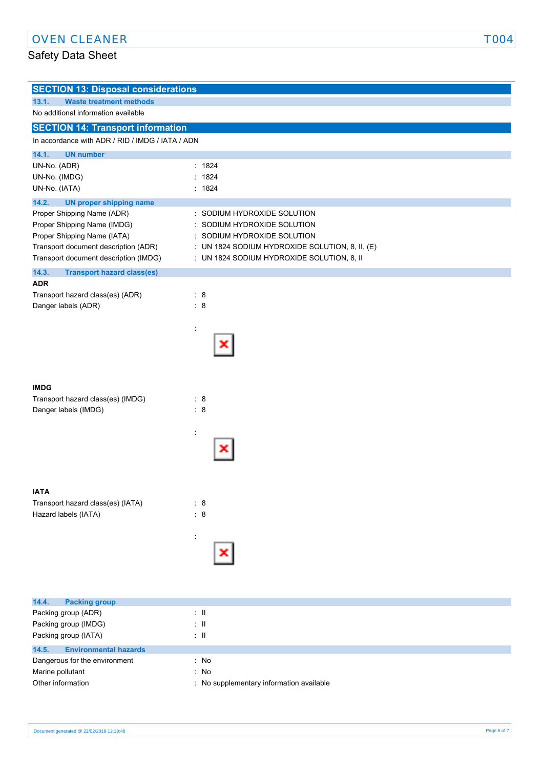| <b>SECTION 13: Disposal considerations</b>       |                                                 |  |
|--------------------------------------------------|-------------------------------------------------|--|
| 13.1.<br><b>Waste treatment methods</b>          |                                                 |  |
| No additional information available              |                                                 |  |
| <b>SECTION 14: Transport information</b>         |                                                 |  |
| In accordance with ADR / RID / IMDG / IATA / ADN |                                                 |  |
|                                                  |                                                 |  |
| 14.1.<br><b>UN number</b>                        |                                                 |  |
| UN-No. (ADR)                                     | : 1824                                          |  |
| UN-No. (IMDG)                                    | 1824<br>$\bullet$                               |  |
| UN-No. (IATA)                                    | : 1824                                          |  |
| 14.2.<br><b>UN proper shipping name</b>          |                                                 |  |
| Proper Shipping Name (ADR)                       | : SODIUM HYDROXIDE SOLUTION                     |  |
| Proper Shipping Name (IMDG)                      | SODIUM HYDROXIDE SOLUTION                       |  |
| Proper Shipping Name (IATA)                      | SODIUM HYDROXIDE SOLUTION                       |  |
| Transport document description (ADR)             | : UN 1824 SODIUM HYDROXIDE SOLUTION, 8, II, (E) |  |
| Transport document description (IMDG)            | : UN 1824 SODIUM HYDROXIDE SOLUTION, 8, II      |  |
| 14.3.<br><b>Transport hazard class(es)</b>       |                                                 |  |
| <b>ADR</b>                                       |                                                 |  |
| Transport hazard class(es) (ADR)                 | : 8                                             |  |
| Danger labels (ADR)                              | $\therefore$ 8                                  |  |
|                                                  |                                                 |  |
|                                                  | t                                               |  |
|                                                  |                                                 |  |
|                                                  | x                                               |  |
|                                                  |                                                 |  |
|                                                  |                                                 |  |
| <b>IMDG</b>                                      |                                                 |  |
|                                                  |                                                 |  |
| Transport hazard class(es) (IMDG)                | : 8                                             |  |
| Danger labels (IMDG)                             | $\therefore$ 8                                  |  |
|                                                  |                                                 |  |
|                                                  | t                                               |  |
|                                                  | ×                                               |  |
|                                                  |                                                 |  |
|                                                  |                                                 |  |
|                                                  |                                                 |  |
| <b>IATA</b>                                      |                                                 |  |
| Transport hazard class(es) (IATA)                | $\therefore$ 8                                  |  |
| Hazard labels (IATA)                             | $\therefore$ 8                                  |  |
|                                                  |                                                 |  |
|                                                  | $\ddot{\cdot}$                                  |  |
|                                                  | x                                               |  |
|                                                  |                                                 |  |
|                                                  |                                                 |  |
|                                                  |                                                 |  |
|                                                  |                                                 |  |
| <b>Packing group</b><br>14.4.                    |                                                 |  |

| Packing group (ADR)                   | : II                                     |
|---------------------------------------|------------------------------------------|
| Packing group (IMDG)                  | : II                                     |
| Packing group (IATA)                  | $\pm$ H.                                 |
| 14.5.<br><b>Environmental hazards</b> |                                          |
| Dangerous for the environment         | : No                                     |
| Marine pollutant                      | $\therefore$ No                          |
| Other information                     | : No supplementary information available |
|                                       |                                          |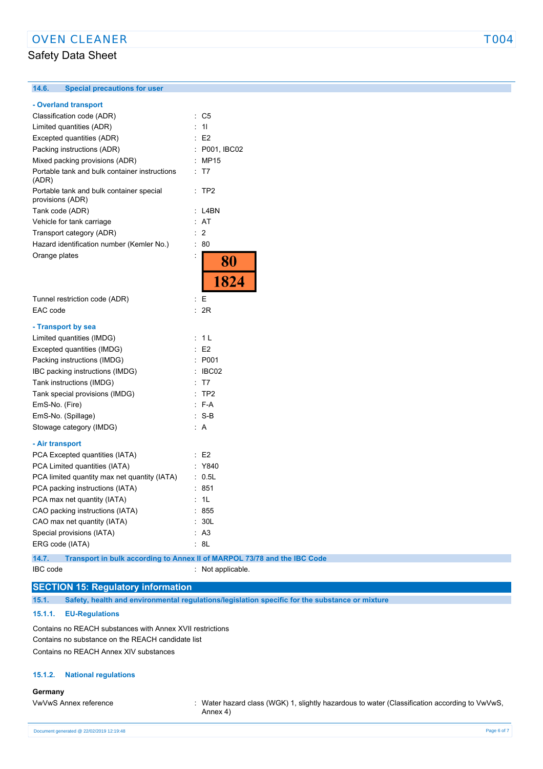### **14.6. Special precautions for user**

### **- Overland transport**

| Classification code (ADR)                                    | C <sub>5</sub><br>t         |
|--------------------------------------------------------------|-----------------------------|
| Limited quantities (ADR)                                     | 11<br>$\ddot{\phantom{a}}$  |
| Excepted quantities (ADR)                                    | E <sub>2</sub>              |
| Packing instructions (ADR)                                   | P001, IBC02<br>t.           |
| Mixed packing provisions (ADR)                               | MP15                        |
| Portable tank and bulk container instructions<br>(ADR)       | T7<br>t                     |
| Portable tank and bulk container special<br>provisions (ADR) | TP2<br>t                    |
| Tank code (ADR)                                              | L4BN<br>t                   |
| Vehicle for tank carriage                                    | AT<br>$\ddot{\phantom{a}}$  |
| Transport category (ADR)                                     | $\overline{2}$              |
| Hazard identification number (Kemler No.)                    | 80<br>t                     |
| Orange plates                                                | $\ddot{\phantom{a}}$<br>80  |
|                                                              | 1824                        |
| Tunnel restriction code (ADR)                                | Ε<br>Ì.                     |
| EAC code                                                     | 2R<br>۰                     |
| - Transport by sea                                           |                             |
| Limited quantities (IMDG)                                    | 1 <sub>L</sub><br>÷.        |
| Excepted quantities (IMDG)                                   | E <sub>2</sub>              |
| Packing instructions (IMDG)                                  | P001<br>÷                   |
| IBC packing instructions (IMDG)                              | IBC02<br>t                  |
| Tank instructions (IMDG)                                     | T7<br>t                     |
| Tank special provisions (IMDG)                               | Ì.<br>TP <sub>2</sub>       |
| EmS-No. (Fire)                                               | F-A<br>t.                   |
| EmS-No. (Spillage)                                           | $S-B$<br>t.                 |
| Stowage category (IMDG)                                      | A                           |
| - Air transport                                              |                             |
| PCA Excepted quantities (IATA)                               | E2<br>t                     |
| PCA Limited quantities (IATA)                                | ÷<br>Y840                   |
| PCA limited quantity max net quantity (IATA)                 | 0.5L<br>t                   |
| PCA packing instructions (IATA)                              | 851<br>t.                   |
| PCA max net quantity (IATA)                                  | 1L                          |
| CAO packing instructions (IATA)                              | 855                         |
| CAO max net quantity (IATA)                                  | 30L<br>$\ddot{\phantom{a}}$ |
| Special provisions (IATA)                                    | A <sub>3</sub>              |
| ERG code (IATA)                                              | 8L<br>۰                     |
|                                                              |                             |

### **14.7. Transport in bulk according to Annex II of MARPOL 73/78 and the IBC Code**

IBC code : Not applicable.

## **SECTION 15: Regulatory information**

**15.1. Safety, health and environmental regulations/legislation specific for the substance or mixture**

### **15.1.1. EU-Regulations**

Contains no REACH substances with Annex XVII restrictions Contains no substance on the REACH candidate list Contains no REACH Annex XIV substances

### **15.1.2. National regulations**

#### **Germany**

VwVwS Annex reference : Water hazard class (WGK) 1, slightly hazardous to water (Classification according to VwVwS, Annex 4)